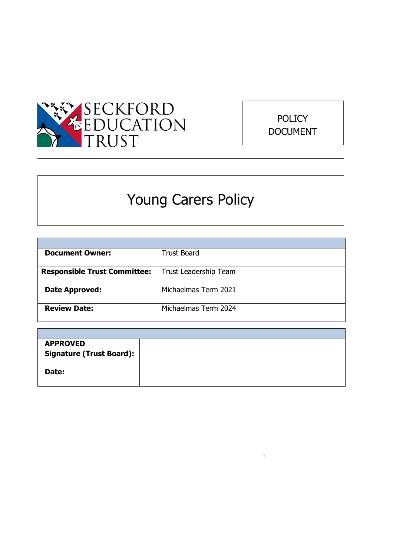



# Young Carers Policy

| <b>Document Owner:</b>              | <b>Trust Board</b>    |
|-------------------------------------|-----------------------|
|                                     |                       |
| <b>Responsible Trust Committee:</b> | Trust Leadership Team |
|                                     |                       |
| Date Approved:                      | Michaelmas Term 2021  |
|                                     |                       |
| <b>Review Date:</b>                 | Michaelmas Term 2024  |
|                                     |                       |

| <b>APPROVED</b>                 |  |
|---------------------------------|--|
| <b>Signature (Trust Board):</b> |  |
|                                 |  |
| Date:                           |  |
|                                 |  |
|                                 |  |

1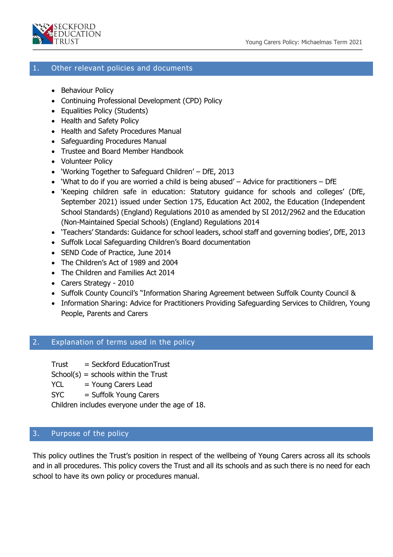

# 1. Other relevant policies and documents

- Behaviour Policy
- Continuing Professional Development (CPD) Policy
- Equalities Policy (Students)
- Health and Safety Policy
- Health and Safety Procedures Manual
- Safeguarding Procedures Manual
- Trustee and Board Member Handbook
- Volunteer Policy
- 'Working Together to Safeguard Children' DfE, 2013
- 'What to do if you are worried a child is being abused' Advice for practitioners DfE
- 'Keeping children safe in education: Statutory guidance for schools and colleges' (DfE, September 2021) issued under Section 175, Education Act 2002, the Education (Independent School Standards) (England) Regulations 2010 as amended by SI 2012/2962 and the Education (Non-Maintained Special Schools) (England) Regulations 2014
- 'Teachers' Standards: Guidance for school leaders, school staff and governing bodies', DfE, 2013
- Suffolk Local Safeguarding Children's Board documentation
- SEND Code of Practice, June 2014
- The Children's Act of 1989 and 2004
- The Children and Families Act 2014
- Carers Strategy 2010
- Suffolk County Council's "Information Sharing Agreement between Suffolk County Council &
- Information Sharing: Advice for Practitioners Providing Safeguarding Services to Children, Young People, Parents and Carers

#### 2. Explanation of terms used in the policy

Trust = Seckford EducationTrust

 $School(s) = schools within the Trust$ 

- $YCL = Young Carers Lead$
- SYC = Suffolk Young Carers

Children includes everyone under the age of 18.

#### 3. Purpose of the policy

2 This policy outlines the Trust's position in respect of the wellbeing of Young Carers across all its schools and in all procedures. This policy covers the Trust and all its schools and as such there is no need for each school to have its own policy or procedures manual.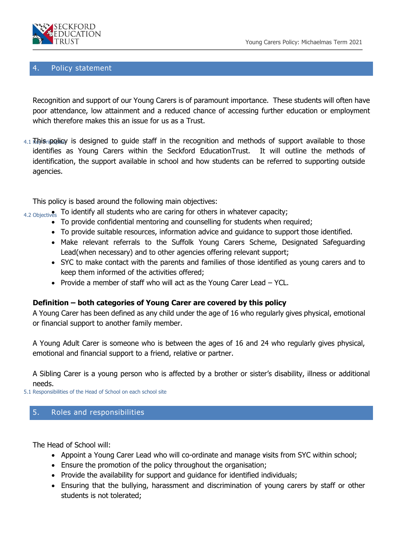

# 4. Policy statement

Recognition and support of our Young Carers is of paramount importance. These students will often have poor attendance, low attainment and a reduced chance of accessing further education or employment which therefore makes this an issue for us as a Trust.

4.1 Kayis<sub>ri</sub>policy is designed to guide staff in the recognition and methods of support available to those identifies as Young Carers within the Seckford EducationTrust. It will outline the methods of identification, the support available in school and how students can be referred to supporting outside agencies.

This policy is based around the following main objectives:

- $_{\rm 4.2~Objectives}$  To identify all students who are caring for others in whatever capacity;
	- To provide confidential mentoring and counselling for students when required;
	- To provide suitable resources, information advice and guidance to support those identified.
	- Make relevant referrals to the Suffolk Young Carers Scheme, Designated Safeguarding Lead(when necessary) and to other agencies offering relevant support;
	- SYC to make contact with the parents and families of those identified as young carers and to keep them informed of the activities offered;
	- Provide a member of staff who will act as the Young Carer Lead YCL.

# **Definition – both categories of Young Carer are covered by this policy**

A Young Carer has been defined as any child under the age of 16 who regularly gives physical, emotional or financial support to another family member.

A Young Adult Carer is someone who is between the ages of 16 and 24 who regularly gives physical, emotional and financial support to a friend, relative or partner.

A Sibling Carer is a young person who is affected by a brother or sister's disability, illness or additional needs.

5.1 Responsibilities of the Head of School on each school site

# 5. Roles and responsibilities

The Head of School will:

- Appoint a Young Carer Lead who will co-ordinate and manage visits from SYC within school;
- Ensure the promotion of the policy throughout the organisation;
- Provide the availability for support and quidance for identified individuals;
- Ensuring that the bullying, harassment and discrimination of young carers by staff or other students is not tolerated;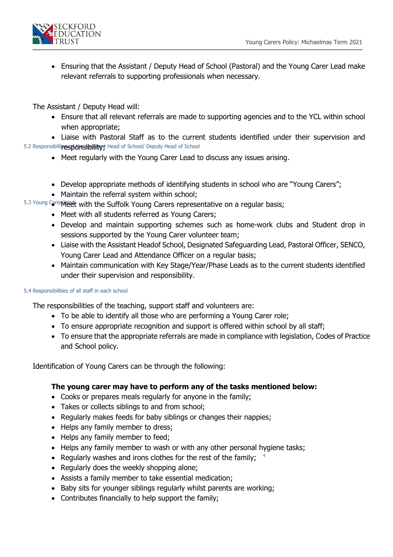

 Ensuring that the Assistant / Deputy Head of School (Pastoral) and the Young Carer Lead make relevant referrals to supporting professionals when necessary.

The Assistant / Deputy Head will:

- Ensure that all relevant referrals are made to supporting agencies and to the YCL within school when appropriate;
- 5.2 Responsibilit**ies.pfdnshbility);** Head of School/ Deputy Head of School Liaise with Pastoral Staff as to the current students identified under their supervision and
	- Meet regularly with the Young Carer Lead to discuss any issues arising.
	- Develop appropriate methods of identifying students in school who are "Young Carers";
	- Maintain the referral system within school;
- 5.3 Young CarenMeet with the Suffolk Young Carers representative on a regular basis;
	- Meet with all students referred as Young Carers;
	- Develop and maintain supporting schemes such as home-work clubs and Student drop in sessions supported by the Young Carer volunteer team;
	- Liaise with the Assistant Headof School, Designated Safeguarding Lead, Pastoral Officer, SENCO, Young Carer Lead and Attendance Officer on a regular basis;
	- Maintain communication with Key Stage/Year/Phase Leads as to the current students identified under their supervision and responsibility.

#### 5.4 Responsibilities of all staff in each school

The responsibilities of the teaching, support staff and volunteers are:

- To be able to identify all those who are performing a Young Carer role;
- To ensure appropriate recognition and support is offered within school by all staff;
- To ensure that the appropriate referrals are made in compliance with legislation, Codes of Practice and School policy.

Identification of Young Carers can be through the following:

# **The young carer may have to perform any of the tasks mentioned below:**

- Cooks or prepares meals regularly for anyone in the family;
- Takes or collects siblings to and from school;
- Regularly makes feeds for baby siblings or changes their nappies;
- Helps any family member to dress;
- Helps any family member to feed;
- Helps any family member to wash or with any other personal hygiene tasks;
- Regularly washes and irons clothes for the rest of the family;  $4\,$
- Regularly does the weekly shopping alone;
- Assists a family member to take essential medication;
- Baby sits for younger siblings regularly whilst parents are working;
- Contributes financially to help support the family;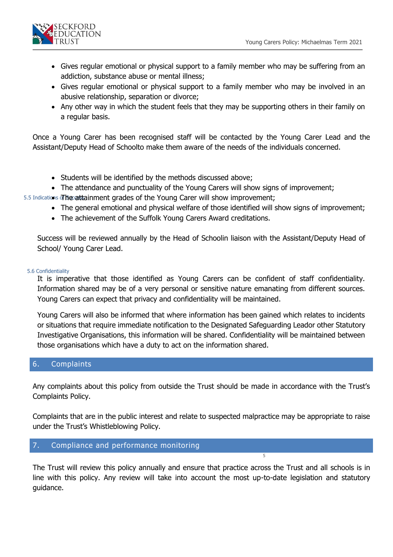

- Gives regular emotional or physical support to a family member who may be suffering from an addiction, substance abuse or mental illness;
- Gives regular emotional or physical support to a family member who may be involved in an abusive relationship, separation or divorce;
- Any other way in which the student feels that they may be supporting others in their family on a regular basis.

Once a Young Carer has been recognised staff will be contacted by the Young Carer Lead and the Assistant/Deputy Head of Schoolto make them aware of the needs of the individuals concerned.

- Students will be identified by the methods discussed above;
- The attendance and punctuality of the Young Carers will show signs of improvement;
- 5.5 Indications of **Secattainment grades of the Young Carer will show improvement;** 
	- The general emotional and physical welfare of those identified will show signs of improvement;
	- The achievement of the Suffolk Young Carers Award creditations.

Success will be reviewed annually by the Head of Schoolin liaison with the Assistant/Deputy Head of School/ Young Carer Lead.

#### 5.6 Confidentiality

It is imperative that those identified as Young Carers can be confident of staff confidentiality. Information shared may be of a very personal or sensitive nature emanating from different sources. Young Carers can expect that privacy and confidentiality will be maintained.

Young Carers will also be informed that where information has been gained which relates to incidents or situations that require immediate notification to the Designated Safeguarding Leador other Statutory Investigative Organisations, this information will be shared. Confidentiality will be maintained between those organisations which have a duty to act on the information shared.

#### 6. Complaints

Any complaints about this policy from outside the Trust should be made in accordance with the Trust's Complaints Policy.

Complaints that are in the public interest and relate to suspected malpractice may be appropriate to raise under the Trust's Whistleblowing Policy.

# 7. Compliance and performance monitoring

The Trust will review this policy annually and ensure that practice across the Trust and all schools is in line with this policy. Any review will take into account the most up-to-date legislation and statutory guidance.

5